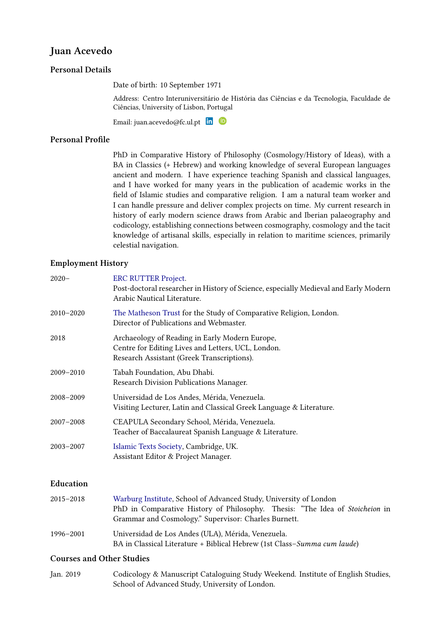# **Juan Acevedo**

## **Personal Details**

Date of birth: 10 September 1971

Address: Centro Interuniversitário de História das Ciências e da Tecnologia, Faculdade de Ciências, University of Lisbon, Portugal

Email: juan.acevedo@fc.ul.pt  $\ln$ 

## **Personal Profile**

PhD in Comparative Histo[ry](https://www.linkedin.com/in/aej-acevedo/) [of P](https://orcid.org/0000-0002-5330-9672)hilosophy (Cosmology/History of Ideas), with a BA in Classics (+ Hebrew) and working knowledge of several European languages ancient and modern. I have experience teaching Spanish and classical languages, and I have worked for many years in the publication of academic works in the field of Islamic studies and comparative religion. I am a natural team worker and I can handle pressure and deliver complex projects on time. My current research in history of early modern science draws from Arabic and Iberian palaeography and codicology, establishing connections between cosmography, cosmology and the tacit knowledge of artisanal skills, especially in relation to maritime sciences, primarily celestial navigation.

### **Employment History**

| $2020 -$      | <b>ERC RUTTER Project.</b><br>Post-doctoral researcher in History of Science, especially Medieval and Early Modern<br>Arabic Nautical Literature.  |
|---------------|----------------------------------------------------------------------------------------------------------------------------------------------------|
| $2010 - 2020$ | The Matheson Trust for the Study of Comparative Religion, London.<br>Director of Publications and Webmaster.                                       |
| 2018          | Archaeology of Reading in Early Modern Europe,<br>Centre for Editing Lives and Letters, UCL, London.<br>Research Assistant (Greek Transcriptions). |
| $2009 - 2010$ | Tabah Foundation, Abu Dhabi.<br>Research Division Publications Manager.                                                                            |
| 2008-2009     | Universidad de Los Andes, Mérida, Venezuela.<br>Visiting Lecturer, Latin and Classical Greek Language & Literature.                                |
| $2007 - 2008$ | CEAPULA Secondary School, Mérida, Venezuela.<br>Teacher of Baccalaureat Spanish Language & Literature.                                             |
| $2003 - 2007$ | Islamic Texts Society, Cambridge, UK.<br>Assistant Editor & Project Manager.                                                                       |

## **Education**

| $2015 - 2018$ | Warburg Institute, School of Advanced Study, University of London            |
|---------------|------------------------------------------------------------------------------|
|               | PhD in Comparative History of Philosophy. Thesis: "The Idea of Stoicheion in |
|               | Grammar and Cosmology." Supervisor: Charles Burnett.                         |
| 1996-2001     | Universidad de Los Andes (ULA), Mérida, Venezuela.                           |
|               | BA in Classical Literature + Biblical Hebrew (1st Class-Summa cum laude)     |

## **Courses and Other Studies**

| Jan. 2019 | Codicology & Manuscript Cataloguing Study Weekend. Institute of English Studies, |
|-----------|----------------------------------------------------------------------------------|
|           | School of Advanced Study, University of London.                                  |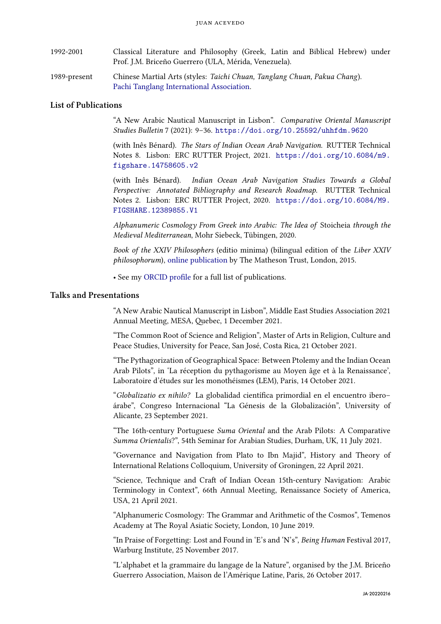| 1992-2001    | Classical Literature and Philosophy (Greek, Latin and Biblical Hebrew) under<br>Prof. J.M. Briceño Guerrero (ULA, Mérida, Venezuela). |
|--------------|---------------------------------------------------------------------------------------------------------------------------------------|
| 1989-present | Chinese Martial Arts (styles: Taichi Chuan, Tanglang Chuan, Pakua Chang).<br>Pachi Tanglang International Association.                |

## **List of Publications**

["A New Arabic Nautical Manuscript in L](http://pachitanglang.uk/)isbon". *Comparative Oriental Manuscript Studies Bulletin* 7 (2021): 9–36. https://doi.org/10.25592/uhhfdm.9620

(with Inês Bénard). *The Stars of Indian Ocean Arab Navigation*. RUTTER Technical Notes 8. Lisbon: ERC RUTTER Project, 2021. https://doi.org/10.6084/m9. figshare.14758605.v2

(with Inês Bénard). *Indian Ocean Arab Navigation Studies Towards a Global Perspective: Annotated Bibliography and Research Roadmap*[. RUTTER Technical](https://doi.org/10.6084/m9.figshare.14758605.v2) [Notes 2. Lisbon: ERC RU](https://doi.org/10.6084/m9.figshare.14758605.v2)TTER Project, 2020. https://doi.org/10.6084/M9. FIGSHARE.12389855.V1

*Alphanumeric Cosmology From Greek into Arabic: The Idea of* Stoicheia *through the Medieval Mediterranean*, Mohr Siebeck, Tübingen[, 2020.](https://doi.org/10.6084/M9.FIGSHARE.12389855.V1)

*[Book of the XXIV Philosop](https://doi.org/10.6084/M9.FIGSHARE.12389855.V1)hers* (editio minima) (bilingual edition of the *Liber XXIV* philosophorum), online publication by The Matheson Trust, London, 2015.

• See my ORCID profile for a full list of publications.

## **Talks and Presentations**

"A New [Arabic Nautical](https://orcid.org/0000-0002-5330-9672) Manuscript in Lisbon", Middle East Studies Association 2021 Annual Meeting, MESA, Quebec, 1 December 2021.

"The Common Root of Science and Religion", Master of Arts in Religion, Culture and Peace Studies, University for Peace, San José, Costa Rica, 21 October 2021.

"The Pythagorization of Geographical Space: Between Ptolemy and the Indian Ocean Arab Pilots", in 'La réception du pythagorisme au Moyen âge et à la Renaissance', Laboratoire d'études sur les monothéismes (LEM), Paris, 14 October 2021.

"*Globalizatio ex nihilo?* La globalidad científica primordial en el encuentro ibero– árabe", Congreso Internacional "La Génesis de la Globalización", University of Alicante, 23 September 2021.

"The 16th-century Portuguese *Suma Oriental* and the Arab Pilots: A Comparative *Summa Orientalis*?", 54th Seminar for Arabian Studies, Durham, UK, 11 July 2021.

"Governance and Navigation from Plato to Ibn Majid", History and Theory of International Relations Colloquium, University of Groningen, 22 April 2021.

"Science, Technique and Craft of Indian Ocean 15th-century Navigation: Arabic Terminology in Context", 66th Annual Meeting, Renaissance Society of America, USA, 21 April 2021.

"Alphanumeric Cosmology: The Grammar and Arithmetic of the Cosmos", Temenos Academy at The Royal Asiatic Society, London, 10 June 2019.

"In Praise of Forgetting: Lost and Found in 'E's and 'N's", *Being Human* Festival 2017, Warburg Institute, 25 November 2017.

"L'alphabet et la grammaire du langage de la Nature", organised by the J.M. Briceño Guerrero Association, Maison de l'Amérique Latine, Paris, 26 October 2017.